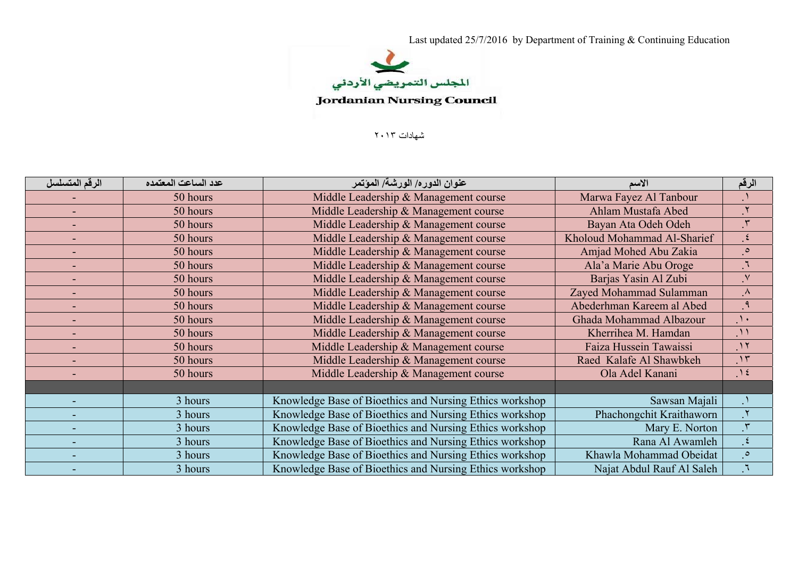

شھادات ٢٠١٣

| الرقم المتسلسل           | عدد الساعت المعتمده | عنوان الدوره/ الورشة/ المؤتمر                           | الاسم                         | الرقم         |
|--------------------------|---------------------|---------------------------------------------------------|-------------------------------|---------------|
|                          | 50 hours            | Middle Leadership & Management course                   | Marwa Fayez Al Tanbour        |               |
| $\sim$                   | 50 hours            | Middle Leadership & Management course                   | Ahlam Mustafa Abed            |               |
| $\sim$                   | 50 hours            | Middle Leadership & Management course                   | Bayan Ata Odeh Odeh           |               |
|                          | 50 hours            | Middle Leadership & Management course                   | Kholoud Mohammad Al-Sharief   | $\mathbf{E}$  |
| $\sim$                   | 50 hours            | Middle Leadership & Management course                   | Amjad Mohed Abu Zakia         | $\cdot$       |
|                          | 50 hours            | Middle Leadership & Management course                   | Ala'a Marie Abu Oroge         |               |
| $\blacksquare$           | 50 hours            | Middle Leadership & Management course                   | Barjas Yasin Al Zubi          | $\mathbf{N}$  |
| $\sim$                   | 50 hours            | Middle Leadership & Management course                   | Zayed Mohammad Sulamman       | $\Lambda$     |
|                          | 50 hours            | Middle Leadership & Management course                   | Abederhman Kareem al Abed     | ृ १           |
| $\overline{\phantom{a}}$ | 50 hours            | Middle Leadership & Management course                   | Ghada Mohammad Albazour       | $\Delta$      |
| ۰                        | 50 hours            | Middle Leadership & Management course                   | Kherrihea M. Hamdan           | $\mathcal{N}$ |
|                          | 50 hours            | Middle Leadership & Management course                   | <b>Faiza Hussein Tawaissi</b> | $\mathcal{N}$ |
| ٠                        | 50 hours            | Middle Leadership & Management course                   | Raed Kalafe Al Shawbkeh       | $\cdot$       |
| ٠                        | 50 hours            | Middle Leadership & Management course                   | Ola Adel Kanani               | $\Lambda$     |
|                          |                     |                                                         |                               |               |
| ۰                        | 3 hours             | Knowledge Base of Bioethics and Nursing Ethics workshop | Sawsan Majali                 |               |
|                          | 3 hours             | Knowledge Base of Bioethics and Nursing Ethics workshop | Phachongchit Kraithaworn      | $\mathsf{r}.$ |
|                          | 3 hours             | Knowledge Base of Bioethics and Nursing Ethics workshop | Mary E. Norton                |               |
| ۰                        | 3 hours             | Knowledge Base of Bioethics and Nursing Ethics workshop | Rana Al Awamleh               | $\mathcal{L}$ |
|                          | 3 hours             | Knowledge Base of Bioethics and Nursing Ethics workshop | Khawla Mohammad Obeidat       | $\cdot$       |
|                          | 3 hours             | Knowledge Base of Bioethics and Nursing Ethics workshop | Najat Abdul Rauf Al Saleh     |               |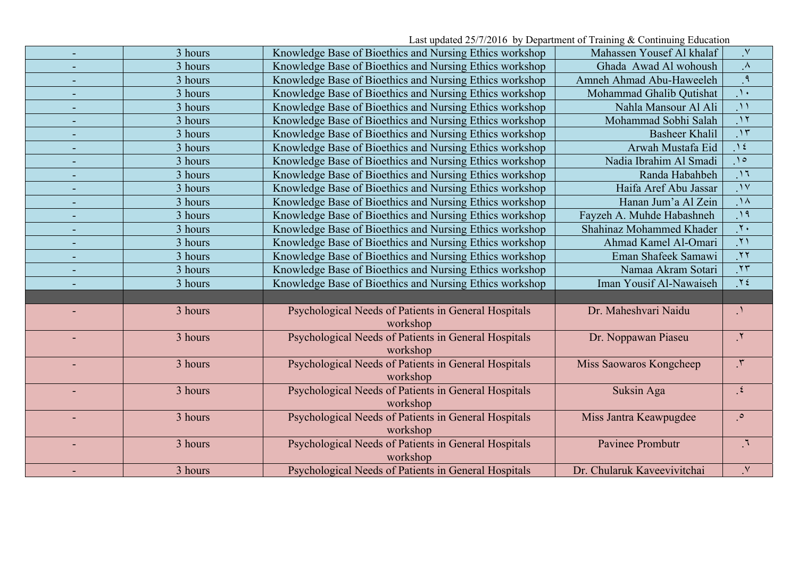Last updated 25/7/2016 by Department of Training & Continuing Education

|                          | 3 hours | Knowledge Base of Bioethics and Nursing Ethics workshop | Mahassen Yousef Al khalaf   | $\mathbf{V}$               |
|--------------------------|---------|---------------------------------------------------------|-----------------------------|----------------------------|
|                          | 3 hours | Knowledge Base of Bioethics and Nursing Ethics workshop | Ghada Awad Al wohoush       | $\Lambda$                  |
|                          | 3 hours | Knowledge Base of Bioethics and Nursing Ethics workshop | Amneh Ahmad Abu-Haweeleh    | $\overline{\cdot}$         |
|                          | 3 hours | Knowledge Base of Bioethics and Nursing Ethics workshop | Mohammad Ghalib Qutishat    | $\Delta$                   |
|                          | 3 hours | Knowledge Base of Bioethics and Nursing Ethics workshop | Nahla Mansour Al Ali        | $\mathcal{M}$              |
|                          | 3 hours | Knowledge Base of Bioethics and Nursing Ethics workshop | Mohammad Sobhi Salah        | $\Lambda$                  |
|                          | 3 hours | Knowledge Base of Bioethics and Nursing Ethics workshop | <b>Basheer Khalil</b>       | $\overline{\cdot}$         |
|                          | 3 hours | Knowledge Base of Bioethics and Nursing Ethics workshop | Arwah Mustafa Eid           | $\Delta$                   |
| $\overline{\phantom{a}}$ | 3 hours | Knowledge Base of Bioethics and Nursing Ethics workshop | Nadia Ibrahim Al Smadi      | $\bigwedge$                |
|                          | 3 hours | Knowledge Base of Bioethics and Nursing Ethics workshop | Randa Habahbeh              | $\overline{11}$            |
|                          | 3 hours | Knowledge Base of Bioethics and Nursing Ethics workshop | Haifa Aref Abu Jassar       | $\mathcal{N}$              |
|                          | 3 hours | Knowledge Base of Bioethics and Nursing Ethics workshop | Hanan Jum'a Al Zein         | $\Lambda$                  |
|                          | 3 hours | Knowledge Base of Bioethics and Nursing Ethics workshop | Fayzeh A. Muhde Habashneh   | $\overline{\cdot}$         |
|                          | 3 hours | Knowledge Base of Bioethics and Nursing Ethics workshop | Shahinaz Mohammed Khader    | $\overline{\cdot}$         |
|                          | 3 hours | Knowledge Base of Bioethics and Nursing Ethics workshop | Ahmad Kamel Al-Omari        | $\overline{y}$             |
|                          | 3 hours | Knowledge Base of Bioethics and Nursing Ethics workshop | Eman Shafeek Samawi         | $\overline{y}$             |
|                          | 3 hours | Knowledge Base of Bioethics and Nursing Ethics workshop | Namaa Akram Sotari          | $\overline{X}$             |
|                          | 3 hours | Knowledge Base of Bioethics and Nursing Ethics workshop | Iman Yousif Al-Nawaiseh     | $Y \xi$                    |
|                          |         |                                                         |                             |                            |
|                          | 3 hours | Psychological Needs of Patients in General Hospitals    | Dr. Maheshvari Naidu        | $\mathcal{N}_{\mathbf{1}}$ |
|                          |         | workshop                                                |                             |                            |
|                          | 3 hours | Psychological Needs of Patients in General Hospitals    | Dr. Noppawan Piaseu         | $\mathcal{X},$             |
|                          |         | workshop                                                |                             |                            |
|                          | 3 hours | Psychological Needs of Patients in General Hospitals    | Miss Saowaros Kongcheep     | $\mathfrak{r}$             |
|                          |         | workshop                                                |                             |                            |
|                          | 3 hours | Psychological Needs of Patients in General Hospitals    | Suksin Aga                  | $\mathcal{L}$              |
|                          |         | workshop                                                |                             |                            |
|                          | 3 hours | Psychological Needs of Patients in General Hospitals    | Miss Jantra Keawpugdee      | $\cdot^\circ$              |
|                          |         | workshop                                                |                             |                            |
|                          | 3 hours | Psychological Needs of Patients in General Hospitals    | Pavinee Prombutr            | $\mathcal{F}_1$            |
|                          |         | workshop                                                |                             |                            |
|                          | 3 hours | Psychological Needs of Patients in General Hospitals    | Dr. Chularuk Kaveevivitchai | $\mathsf{v}$               |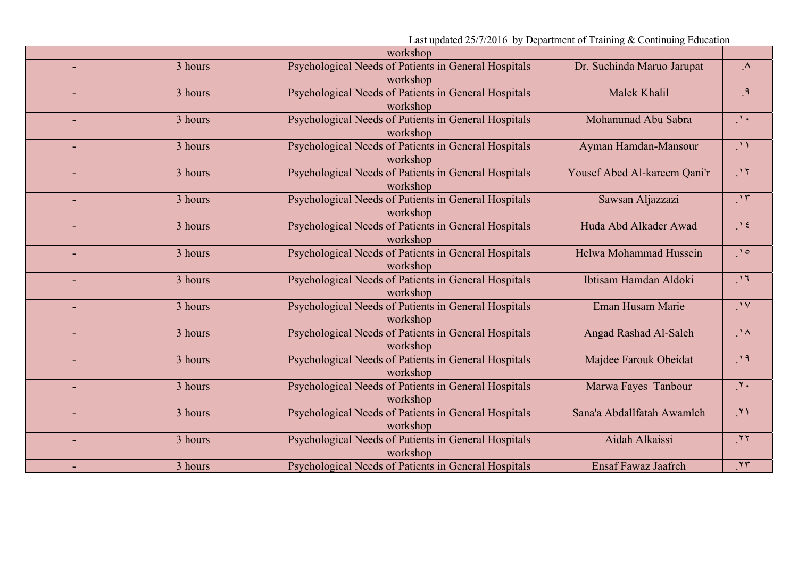| Last updated 25/7/2016 by Department of Training & Continuing Education |  |  |  |
|-------------------------------------------------------------------------|--|--|--|
|                                                                         |  |  |  |

|                |         | workshop                                                         |                              |                          |
|----------------|---------|------------------------------------------------------------------|------------------------------|--------------------------|
|                | 3 hours | Psychological Needs of Patients in General Hospitals<br>workshop | Dr. Suchinda Maruo Jarupat   | $\Lambda$                |
|                | 3 hours | Psychological Needs of Patients in General Hospitals<br>workshop | Malek Khalil                 | $\mathsf{P}_{\cdot}$     |
|                | 3 hours | Psychological Needs of Patients in General Hospitals<br>workshop | Mohammad Abu Sabra           | $\Delta$                 |
|                | 3 hours | Psychological Needs of Patients in General Hospitals<br>workshop | Ayman Hamdan-Mansour         | $\bigcup$                |
| $\blacksquare$ | 3 hours | Psychological Needs of Patients in General Hospitals<br>workshop | Yousef Abed Al-kareem Qani'r | $\cdot$                  |
|                | 3 hours | Psychological Needs of Patients in General Hospitals<br>workshop | Sawsan Aljazzazi             | $\overline{\mathcal{M}}$ |
|                | 3 hours | Psychological Needs of Patients in General Hospitals<br>workshop | Huda Abd Alkader Awad        | $\Lambda$                |
|                | 3 hours | Psychological Needs of Patients in General Hospitals<br>workshop | Helwa Mohammad Hussein       | .10                      |
|                | 3 hours | Psychological Needs of Patients in General Hospitals<br>workshop | Ibtisam Hamdan Aldoki        | $\Lambda$                |
|                | 3 hours | Psychological Needs of Patients in General Hospitals<br>workshop | Eman Husam Marie             | $\cdot$                  |
|                | 3 hours | Psychological Needs of Patients in General Hospitals<br>workshop | Angad Rashad Al-Saleh        | $\Lambda$                |
|                | 3 hours | Psychological Needs of Patients in General Hospitals<br>workshop | Majdee Farouk Obeidat        | .19                      |
|                | 3 hours | Psychological Needs of Patients in General Hospitals<br>workshop | Marwa Fayes Tanbour          | $\cdot$                  |
|                | 3 hours | Psychological Needs of Patients in General Hospitals<br>workshop | Sana'a Abdallfatah Awamleh   | $\mathcal{N}$            |
|                | 3 hours | Psychological Needs of Patients in General Hospitals<br>workshop | Aidah Alkaissi               | .77                      |
|                | 3 hours | Psychological Needs of Patients in General Hospitals             | <b>Ensaf Fawaz Jaafreh</b>   | .۲۳                      |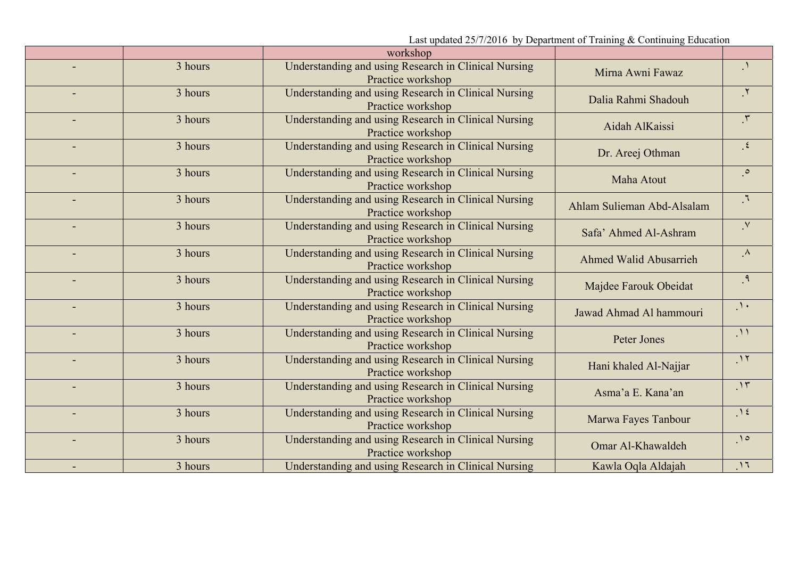workshop .١ Mirna Awni Fawaz Understanding and using Research in Clinical Nursing Practice workshop 3 hours.٢ Dalia Rahmi Shadouh Understanding and using Research in Clinical Nursing Practice workshop 3 hours.٣ Aidah AlKaissi Understanding and using Research in Clinical Nursing Practice workshop  $-$  3 hours .٤Understanding and using Research in Clinical Nursing Dr. Areej Othman Practice workshop 3 hours.٥ Maha Atout Understanding and using Research in Clinical Nursing Practice workshop  $-$  3 hours .٦ Ahlam Sulieman Abd-Alsalam Understanding and using Research in Clinical Nursing Practice workshop 3 hours $\overline{V}$  Safa' Ahmed Al-Ashram Understanding and using Research in Clinical Nursing Practice workshop 3 hours.٨ Ahmed Walid Abusarrieh Understanding and using Research in Clinical Nursing Practice workshop 3 hours.٩Understanding and using Research in Clinical Nursing Majdee Farouk Obeidat Practice workshop 3 hours. ١٠Jawad Ahmad Al hammouri Understanding and using Research in Clinical Nursing Practice workshop  $-$  3 hours .١١Peter Jones Understanding and using Research in Clinical Nursing Practice workshop 3 hours. ١٢Understanding and using Research in Clinical Nursing Hani khaled Al-Najjar<br>Practice workshop  $-$  3 hours .١٣Asma'a E. Kana'an Understanding and using Research in Clinical Nursing Practice workshop 3 hours.١٤Understanding and using Research in Clinical Nursing Marwa Fayes Tanbour<br>Practice workshop  $-$  3 hours . ١٥Omar Al-Khawaldeh Understanding and using Research in Clinical Nursing Practice workshop 3 hours 3 hoursUnderstanding and using Research in Clinical Nursing Kawla Oqla Aldajah . ١٦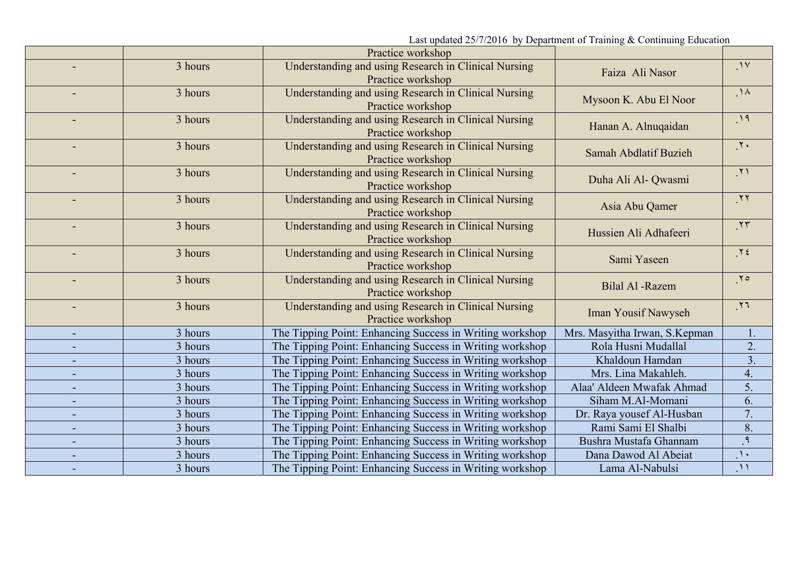|                |         | Practice workshop                                                         |                               |                 |
|----------------|---------|---------------------------------------------------------------------------|-------------------------------|-----------------|
|                | 3 hours | Understanding and using Research in Clinical Nursing                      | Faiza Ali Nasor               | .1V             |
|                |         | Practice workshop                                                         |                               |                 |
|                | 3 hours | Understanding and using Research in Clinical Nursing<br>Practice workshop | Mysoon K. Abu El Noor         | $\Lambda$       |
|                | 3 hours |                                                                           |                               | $\overline{\ }$ |
|                |         | Understanding and using Research in Clinical Nursing<br>Practice workshop | Hanan A. Alnuqaidan           |                 |
|                | 3 hours | Understanding and using Research in Clinical Nursing                      | Samah Abdlatif Buzieh         | $\cdot$         |
|                |         | Practice workshop                                                         |                               |                 |
| ٠              | 3 hours | Understanding and using Research in Clinical Nursing                      | Duha Ali Al- Qwasmi           | $\mathcal{N}$   |
|                |         | Practice workshop                                                         |                               |                 |
|                | 3 hours | Understanding and using Research in Clinical Nursing<br>Practice workshop | Asia Abu Qamer                | .77             |
| $\blacksquare$ | 3 hours | Understanding and using Research in Clinical Nursing                      |                               | .77             |
|                |         | Practice workshop                                                         | Hussien Ali Adhafeeri         |                 |
|                | 3 hours | Understanding and using Research in Clinical Nursing                      | Sami Yaseen                   | $Y \xi$         |
|                |         | Practice workshop                                                         |                               |                 |
|                | 3 hours | Understanding and using Research in Clinical Nursing                      | <b>Bilal Al</b> -Razem        | .70             |
|                |         | Practice workshop                                                         |                               |                 |
| $\blacksquare$ | 3 hours | Understanding and using Research in Clinical Nursing<br>Practice workshop | <b>Iman Yousif Nawyseh</b>    | .77             |
| ٠              | 3 hours | The Tipping Point: Enhancing Success in Writing workshop                  | Mrs. Masyitha Irwan, S.Kepman | 1.              |
|                | 3 hours | The Tipping Point: Enhancing Success in Writing workshop                  | Rola Husni Mudallal           | 2.              |
| ٠              | 3 hours | The Tipping Point: Enhancing Success in Writing workshop                  | Khaldoun Hamdan               | 3.              |
|                | 3 hours |                                                                           | Mrs. Lina Makahleh.           | 4.              |
| -              |         | The Tipping Point: Enhancing Success in Writing workshop                  |                               |                 |
|                | 3 hours | The Tipping Point: Enhancing Success in Writing workshop                  | Alaa' Aldeen Mwafak Ahmad     | 5.              |
| L.             | 3 hours | The Tipping Point: Enhancing Success in Writing workshop                  | Siham M.Al-Momani             | 6.              |
| ٠              | 3 hours | The Tipping Point: Enhancing Success in Writing workshop                  | Dr. Raya yousef Al-Husban     | 7.              |
|                | 3 hours | The Tipping Point: Enhancing Success in Writing workshop                  | Rami Sami El Shalbi           | 8.              |
|                | 3 hours | The Tipping Point: Enhancing Success in Writing workshop                  | Bushra Mustafa Ghannam        | $\mathcal{A}$   |
|                | 3 hours | The Tipping Point: Enhancing Success in Writing workshop                  | Dana Dawod Al Abeiat          | $\Delta$        |
|                | 3 hours | The Tipping Point: Enhancing Success in Writing workshop                  | Lama Al-Nabulsi               | $\Lambda$       |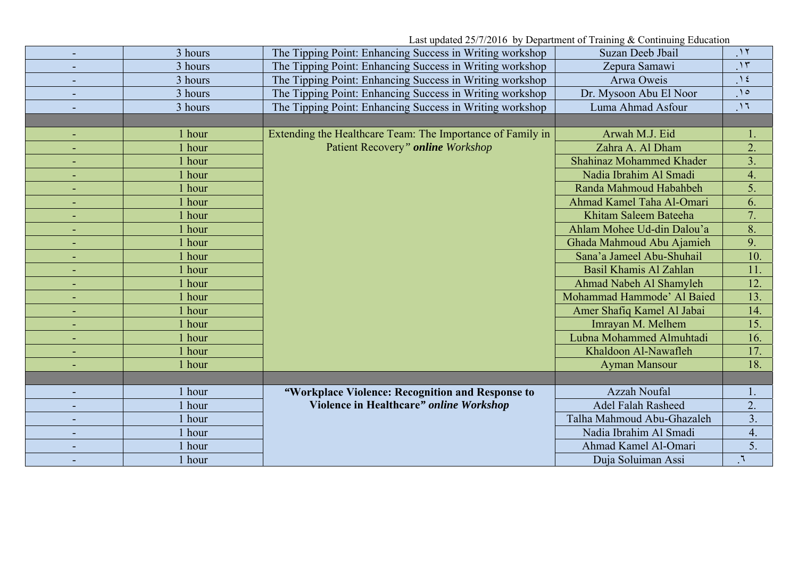|   | 3 hours | The Tipping Point: Enhancing Success in Writing workshop   | Suzan Deeb Jbail           | $\gamma$       |
|---|---------|------------------------------------------------------------|----------------------------|----------------|
|   | 3 hours | The Tipping Point: Enhancing Success in Writing workshop   | Zepura Samawi              | $\gamma$       |
| ٠ | 3 hours | The Tipping Point: Enhancing Success in Writing workshop   | Arwa Oweis                 | $\Lambda$      |
|   | 3 hours | The Tipping Point: Enhancing Success in Writing workshop   | Dr. Mysoon Abu El Noor     | $\Omega$       |
|   | 3 hours | The Tipping Point: Enhancing Success in Writing workshop   | Luma Ahmad Asfour          | $\cdot$ 17     |
|   |         |                                                            |                            |                |
|   | 1 hour  | Extending the Healthcare Team: The Importance of Family in | Arwah M.J. Eid             |                |
| ٠ | 1 hour  | Patient Recovery" online Workshop                          | Zahra A. Al Dham           | 2.             |
|   | 1 hour  |                                                            | Shahinaz Mohammed Khader   | 3 <sub>1</sub> |
|   | l hour  |                                                            | Nadia Ibrahim Al Smadi     | 4.             |
|   | hour    |                                                            | Randa Mahmoud Habahbeh     | 5.             |
|   | hour    |                                                            | Ahmad Kamel Taha Al-Omari  | 6.             |
|   | 1 hour  |                                                            | Khitam Saleem Bateeha      | 7.             |
|   | 1 hour  |                                                            | Ahlam Mohee Ud-din Dalou'a | 8.             |
|   | 1 hour  |                                                            | Ghada Mahmoud Abu Ajamieh  | 9.             |
|   | l hour  |                                                            | Sana'a Jameel Abu-Shuhail  | 10.            |
| ٠ | l hour  |                                                            | Basil Khamis Al Zahlan     | 11.            |
|   | 1 hour  |                                                            | Ahmad Nabeh Al Shamyleh    | 12.            |
|   | 1 hour  |                                                            | Mohammad Hammode' Al Baied | 13.            |
|   | 1 hour  |                                                            | Amer Shafiq Kamel Al Jabai | 14.            |
|   | 1 hour  |                                                            | Imrayan M. Melhem          | 15.            |
| ٠ | 1 hour  |                                                            | Lubna Mohammed Almuhtadi   | 16.            |
|   | l hour  |                                                            | Khaldoon Al-Nawafleh       | 17.            |
|   | 1 hour  |                                                            | <b>Ayman Mansour</b>       | 18.            |
|   |         |                                                            |                            |                |
|   | 1 hour  | "Workplace Violence: Recognition and Response to           | <b>Azzah Noufal</b>        |                |
|   | 1 hour  | Violence in Healthcare" online Workshop                    | <b>Adel Falah Rasheed</b>  | 2.             |
|   | 1 hour  |                                                            | Talha Mahmoud Abu-Ghazaleh | 3.             |
|   | hour    |                                                            | Nadia Ibrahim Al Smadi     | 4.             |
|   | 1 hour  |                                                            | Ahmad Kamel Al-Omari       | 5.             |
|   | 1 hour  |                                                            | Duja Soluiman Assi         |                |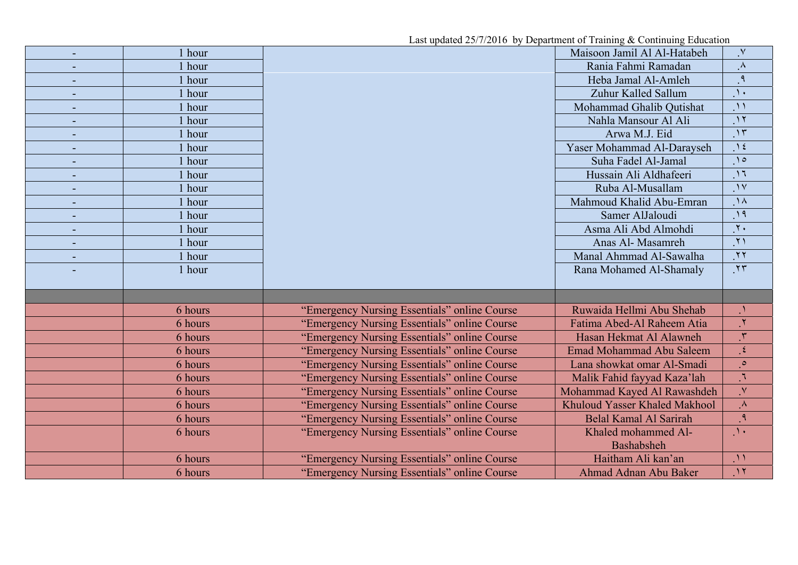| Last updated 25/7/2016 by Department of Training & Continuing Education |         |                                              |                                 |                            |  |
|-------------------------------------------------------------------------|---------|----------------------------------------------|---------------------------------|----------------------------|--|
| $\blacksquare$                                                          | 1 hour  |                                              | Maisoon Jamil Al Al-Hatabeh     | $\mathsf{v}$               |  |
|                                                                         | 1 hour  |                                              | Rania Fahmi Ramadan             | $\Lambda$                  |  |
|                                                                         | 1 hour  |                                              | Heba Jamal Al-Amleh             | $\mathsf{P}$               |  |
| ٠                                                                       | 1 hour  |                                              | Zuhur Kalled Sallum             | $\lambda$                  |  |
|                                                                         | 1 hour  |                                              | Mohammad Ghalib Qutishat        | $\Lambda$                  |  |
|                                                                         | 1 hour  |                                              | Nahla Mansour Al Ali            | $\gamma$                   |  |
|                                                                         | 1 hour  |                                              | Arwa M.J. Eid                   | $\overline{\mathcal{M}}$   |  |
| $\blacksquare$                                                          | 1 hour  |                                              | Yaser Mohammad Al-Darayseh      | $\lambda$                  |  |
|                                                                         | 1 hour  |                                              | Suha Fadel Al-Jamal             | $\bigwedge$                |  |
| $\blacksquare$                                                          | 1 hour  |                                              | Hussain Ali Aldhafeeri          | $\overline{11}$            |  |
|                                                                         | 1 hour  |                                              | Ruba Al-Musallam                | $\overline{\prime}$        |  |
|                                                                         | 1 hour  |                                              | Mahmoud Khalid Abu-Emran        | $\lambda$                  |  |
|                                                                         | 1 hour  |                                              | Samer AlJaloudi                 | $\eta$                     |  |
|                                                                         | 1 hour  |                                              | Asma Ali Abd Almohdi            | $\overline{\gamma}$ .      |  |
| $\blacksquare$                                                          | 1 hour  |                                              | Anas Al- Masamreh               | $\overline{y}$             |  |
|                                                                         | 1 hour  |                                              | Manal Ahmmad Al-Sawalha         | $\overline{y}$             |  |
|                                                                         | 1 hour  |                                              | Rana Mohamed Al-Shamaly         | $\mathcal{N}$              |  |
|                                                                         |         |                                              |                                 |                            |  |
|                                                                         |         |                                              |                                 |                            |  |
|                                                                         | 6 hours | "Emergency Nursing Essentials" online Course | Ruwaida Hellmi Abu Shehab       | $\mathcal{N}_{\mathbf{1}}$ |  |
|                                                                         | 6 hours | "Emergency Nursing Essentials" online Course | Fatima Abed-Al Raheem Atia      | $\mathbf{Y}$               |  |
|                                                                         | 6 hours | "Emergency Nursing Essentials" online Course | Hasan Hekmat Al Alawneh         | $\mathfrak{r}$             |  |
|                                                                         | 6 hours | "Emergency Nursing Essentials" online Course | <b>Emad Mohammad Abu Saleem</b> | $\epsilon$                 |  |
|                                                                         | 6 hours | "Emergency Nursing Essentials" online Course | Lana showkat omar Al-Smadi      | $\circ$                    |  |
|                                                                         | 6 hours | "Emergency Nursing Essentials" online Course | Malik Fahid fayyad Kaza'lah     | $\mathbb{I}$               |  |
|                                                                         | 6 hours | "Emergency Nursing Essentials" online Course | Mohammad Kayed Al Rawashdeh     | $\mathsf{V}$               |  |
|                                                                         | 6 hours | "Emergency Nursing Essentials" online Course | Khuloud Yasser Khaled Makhool   | $\Lambda$                  |  |
|                                                                         | 6 hours | "Emergency Nursing Essentials" online Course | <b>Belal Kamal Al Sarirah</b>   | $\mathfrak{q}$             |  |
|                                                                         | 6 hours | "Emergency Nursing Essentials" online Course | Khaled mohammed Al-             | $\Lambda$ .                |  |
|                                                                         |         |                                              | Bashabsheh                      |                            |  |
|                                                                         | 6 hours | "Emergency Nursing Essentials" online Course | Haitham Ali kan'an              | $\mathcal{M}$              |  |
|                                                                         | 6 hours | "Emergency Nursing Essentials" online Course | Ahmad Adnan Abu Baker           | $\overline{\mathcal{M}}$   |  |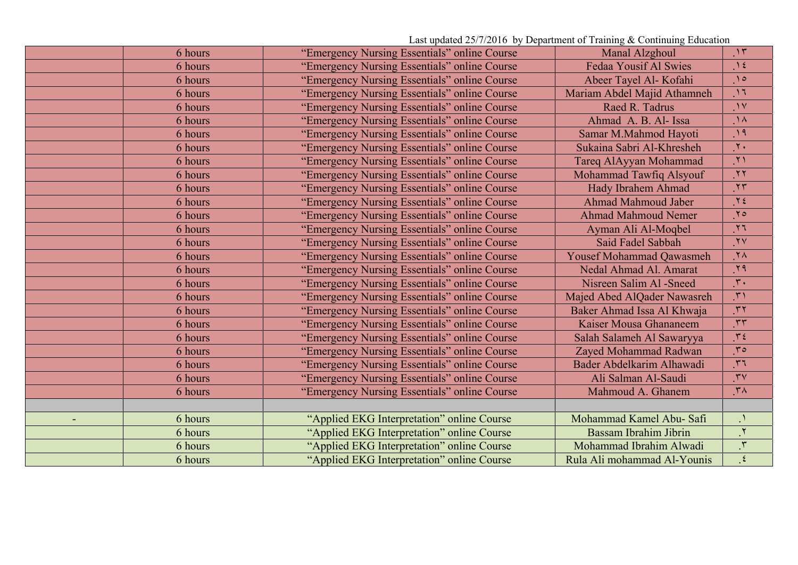Last updated 25/7/2016 by Department of Training & Continuing Education

| 6 hours | "Emergency Nursing Essentials" online Course | Manal Alzghoul                  | $\mathcal{M}$              |
|---------|----------------------------------------------|---------------------------------|----------------------------|
| 6 hours | "Emergency Nursing Essentials" online Course | <b>Fedaa Yousif Al Swies</b>    | $\gamma$ {                 |
| 6 hours | "Emergency Nursing Essentials" online Course | Abeer Tayel Al- Kofahi          | $\bigwedge$                |
| 6 hours | "Emergency Nursing Essentials" online Course | Mariam Abdel Majid Athamneh     | $\overline{11}$            |
| 6 hours | "Emergency Nursing Essentials" online Course | Raed R. Tadrus                  | $\mathcal{N}$              |
| 6 hours | "Emergency Nursing Essentials" online Course | Ahmad A. B. Al- Issa            | $\Lambda$                  |
| 6 hours | "Emergency Nursing Essentials" online Course | Samar M.Mahmod Hayoti           | $\overline{\phantom{1}19}$ |
| 6 hours | "Emergency Nursing Essentials" online Course | Sukaina Sabri Al-Khresheh       | $\mathbf{y}$               |
| 6 hours | "Emergency Nursing Essentials" online Course | Tareq AlAyyan Mohammad          | $\overline{y}$             |
| 6 hours | "Emergency Nursing Essentials" online Course | Mohammad Tawfiq Alsyouf         | $\mathbf{y}$               |
| 6 hours | "Emergency Nursing Essentials" online Course | <b>Hady Ibrahem Ahmad</b>       | $\mathcal{M}$              |
| 6 hours | "Emergency Nursing Essentials" online Course | <b>Ahmad Mahmoud Jaber</b>      | $Y\xi$                     |
| 6 hours | "Emergency Nursing Essentials" online Course | <b>Ahmad Mahmoud Nemer</b>      | $\gamma$                   |
| 6 hours | "Emergency Nursing Essentials" online Course | Ayman Ali Al-Moqbel             | $\overline{1}$             |
| 6 hours | "Emergency Nursing Essentials" online Course | Said Fadel Sabbah               | $\mathbf{y}$               |
| 6 hours | "Emergency Nursing Essentials" online Course | <b>Yousef Mohammad Qawasmeh</b> | $\mathcal{N}$              |
| 6 hours | "Emergency Nursing Essentials" online Course | Nedal Ahmad Al. Amarat          | .79                        |
| 6 hours | "Emergency Nursing Essentials" online Course | Nisreen Salim Al -Sneed         | $\mathcal{X}$ .            |
| 6 hours | "Emergency Nursing Essentials" online Course | Majed Abed AlQader Nawasreh     | $\mathbf{r}$               |
| 6 hours | "Emergency Nursing Essentials" online Course | Baker Ahmad Issa Al Khwaja      | $\mathcal{N}$              |
| 6 hours | "Emergency Nursing Essentials" online Course | Kaiser Mousa Ghananeem          | $\cdot$ rr                 |
| 6 hours | "Emergency Nursing Essentials" online Course | Salah Salameh Al Sawaryya       | $T\xi$                     |
| 6 hours | "Emergency Nursing Essentials" online Course | Zayed Mohammad Radwan           | $r \circ$                  |
| 6 hours | "Emergency Nursing Essentials" online Course | Bader Abdelkarim Alhawadi       | 57                         |
| 6 hours | "Emergency Nursing Essentials" online Course | Ali Salman Al-Saudi             | $\mathbf{y}$               |
| 6 hours | "Emergency Nursing Essentials" online Course | Mahmoud A. Ghanem               | $\mathsf{r}$               |
|         |                                              |                                 |                            |
| 6 hours | "Applied EKG Interpretation" online Course   | Mohammad Kamel Abu- Safi        |                            |
| 6 hours | "Applied EKG Interpretation" online Course   | Bassam Ibrahim Jibrin           | $\mathbf{r}$               |
| 6 hours | "Applied EKG Interpretation" online Course   | Mohammad Ibrahim Alwadi         | $\mathcal{N}$              |
| 6 hours | "Applied EKG Interpretation" online Course   | Rula Ali mohammad Al-Younis     | $\mathcal{L}$              |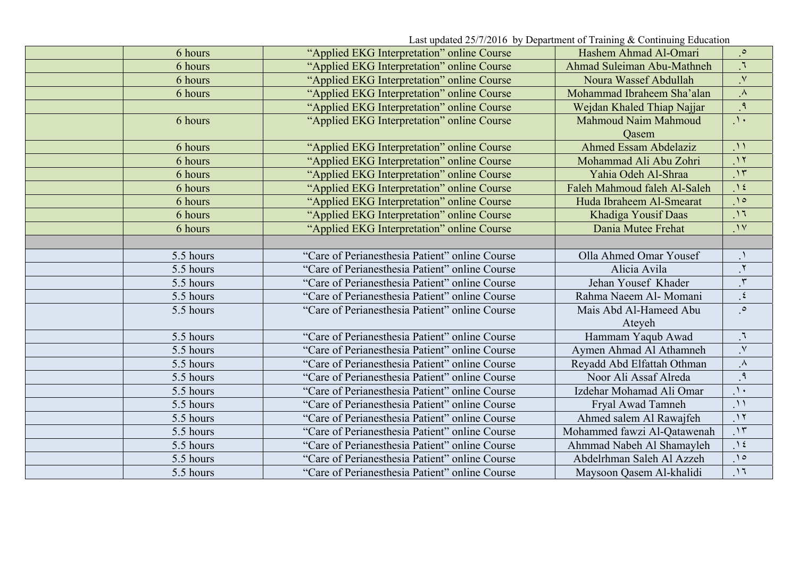Last updated 25/7/2016 by Department of Training & Continuing Education

| 6 hours   | "Applied EKG Interpretation" online Course     | Hashem Ahmad Al-Omari        | $\cdot$                 |
|-----------|------------------------------------------------|------------------------------|-------------------------|
| 6 hours   | "Applied EKG Interpretation" online Course     | Ahmad Suleiman Abu-Mathneh   | $\mathcal{L}$           |
| 6 hours   | "Applied EKG Interpretation" online Course     | Noura Wassef Abdullah        | $\cdot^\vee$            |
| 6 hours   | "Applied EKG Interpretation" online Course     | Mohammad Ibraheem Sha'alan   | $\Lambda$               |
|           | "Applied EKG Interpretation" online Course     | Wejdan Khaled Thiap Najjar   | $\mathcal{P}$ .         |
| 6 hours   | "Applied EKG Interpretation" online Course     | Mahmoud Naim Mahmoud         | $\Delta$                |
|           |                                                | Qasem                        |                         |
| 6 hours   | "Applied EKG Interpretation" online Course     | <b>Ahmed Essam Abdelaziz</b> | $\Lambda$               |
| 6 hours   | "Applied EKG Interpretation" online Course     | Mohammad Ali Abu Zohri       | $\cdot$                 |
| 6 hours   | "Applied EKG Interpretation" online Course     | Yahia Odeh Al-Shraa          | $\overline{\cdot}$      |
| 6 hours   | "Applied EKG Interpretation" online Course     | Faleh Mahmoud faleh Al-Saleh | $\Delta$                |
| 6 hours   | "Applied EKG Interpretation" online Course     | Huda Ibraheem Al-Smearat     | $\bigwedge$             |
| 6 hours   | "Applied EKG Interpretation" online Course     | Khadiga Yousif Daas          | $\Lambda$               |
| 6 hours   | "Applied EKG Interpretation" online Course     | Dania Mutee Frehat           | $\mathcal{N}$           |
|           |                                                |                              |                         |
| 5.5 hours | "Care of Perianesthesia Patient" online Course | Olla Ahmed Omar Yousef       |                         |
| 5.5 hours | "Care of Perianesthesia Patient" online Course | Alicia Avila                 | $\overline{\mathbf{r}}$ |
| 5.5 hours | "Care of Perianesthesia Patient" online Course | Jehan Yousef Khader          | $\mathbf{r}.$           |
| 5.5 hours | "Care of Perianesthesia Patient" online Course | Rahma Naeem Al- Momani       | $\cdot$                 |
| 5.5 hours | "Care of Perianesthesia Patient" online Course | Mais Abd Al-Hameed Abu       | $\cdot$                 |
|           |                                                | Ateyeh                       |                         |
| 5.5 hours | "Care of Perianesthesia Patient" online Course | Hammam Yaqub Awad            | $\mathcal{L}$           |
| 5.5 hours | "Care of Perianesthesia Patient" online Course | Aymen Ahmad Al Athamneh      | $\mathsf{v}$            |
| 5.5 hours | "Care of Perianesthesia Patient" online Course | Reyadd Abd Elfattah Othman   | $\cdot^{\mathcal{A}}$   |
| 5.5 hours | "Care of Perianesthesia Patient" online Course | Noor Ali Assaf Alreda        | $\cdot$                 |
| 5.5 hours | "Care of Perianesthesia Patient" online Course | Izdehar Mohamad Ali Omar     | $\Delta$                |
| 5.5 hours | "Care of Perianesthesia Patient" online Course | Fryal Awad Tamneh            | $\mathcal{N}$           |
| 5.5 hours | "Care of Perianesthesia Patient" online Course | Ahmed salem Al Rawajfeh      | $\cdot$                 |
| 5.5 hours | "Care of Perianesthesia Patient" online Course | Mohammed fawzi Al-Qatawenah  | $\gamma$                |
| 5.5 hours | "Care of Perianesthesia Patient" online Course | Ahmmad Nabeh Al Shamayleh    | $\Delta$                |
| 5.5 hours | "Care of Perianesthesia Patient" online Course | Abdelrhman Saleh Al Azzeh    | $\cdot$                 |
| 5.5 hours | "Care of Perianesthesia Patient" online Course | Maysoon Qasem Al-khalidi     | $\cdot$ 1               |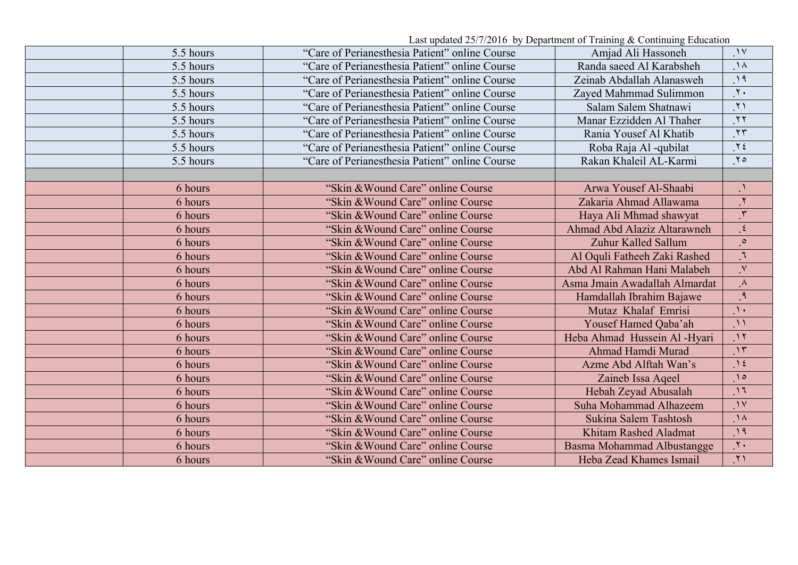| 5.5 hours | "Care of Perianesthesia Patient" online Course | Amjad Ali Hassoneh                | $\gamma$                    |
|-----------|------------------------------------------------|-----------------------------------|-----------------------------|
| 5.5 hours | "Care of Perianesthesia Patient" online Course | Randa saeed Al Karabsheh          | $\Lambda$                   |
| 5.5 hours | "Care of Perianesthesia Patient" online Course | Zeinab Abdallah Alanasweh         | .19                         |
| 5.5 hours | "Care of Perianesthesia Patient" online Course | Zayed Mahmmad Sulimmon            | $\overline{\Upsilon}$       |
| 5.5 hours | "Care of Perianesthesia Patient" online Course | Salam Salem Shatnawi              | $\gamma$ )                  |
| 5.5 hours | "Care of Perianesthesia Patient" online Course | Manar Ezzidden Al Thaher          | $\overline{Y}$              |
| 5.5 hours | "Care of Perianesthesia Patient" online Course | Rania Yousef Al Khatib            | $\overline{\Upsilon}$       |
| 5.5 hours | "Care of Perianesthesia Patient" online Course | Roba Raja Al -qubilat             | $Y\xi$                      |
| 5.5 hours | "Care of Perianesthesia Patient" online Course | Rakan Khaleil AL-Karmi            | $Y \circ$                   |
|           |                                                |                                   |                             |
| 6 hours   | "Skin & Wound Care" online Course              | Arwa Yousef Al-Shaabi             |                             |
| 6 hours   | "Skin & Wound Care" online Course              | Zakaria Ahmad Allawama            | $\mathcal{N}$               |
| 6 hours   | "Skin & Wound Care" online Course              | Haya Ali Mhmad shawyat            | $\mathcal{F}_{\mathcal{A}}$ |
| 6 hours   | "Skin & Wound Care" online Course              | Ahmad Abd Alaziz Altarawneh       | $\mathfrak{z}$              |
| 6 hours   | "Skin & Wound Care" online Course              | Zuhur Kalled Sallum               | $\cdot$                     |
| 6 hours   | "Skin & Wound Care" online Course              | Al Oquli Fatheeh Zaki Rashed      | $\overline{J}$              |
| 6 hours   | "Skin & Wound Care" online Course              | Abd Al Rahman Hani Malabeh        | $\cdot^{\vee}$              |
| 6 hours   | "Skin & Wound Care" online Course              | Asma Jmain Awadallah Almardat     | $\Lambda$                   |
| 6 hours   | "Skin & Wound Care" online Course              | Hamdallah Ibrahim Bajawe          | $\cdot$                     |
| 6 hours   | "Skin & Wound Care" online Course              | Mutaz Khalaf Emrisi               | $\Delta$                    |
| 6 hours   | "Skin & Wound Care" online Course              | Yousef Hamed Qaba'ah              | $\mathcal{N}$               |
| 6 hours   | "Skin & Wound Care" online Course              | Heba Ahmad Hussein Al -Hyari      | $\overline{\ }$             |
| 6 hours   | "Skin & Wound Care" online Course              | Ahmad Hamdi Murad                 | $\eta$                      |
| 6 hours   | "Skin & Wound Care" online Course              | Azme Abd Alftah Wan's             | $\gamma$ {                  |
| 6 hours   | "Skin & Wound Care" online Course              | Zaineb Issa Aqeel                 | $\eta$                      |
| 6 hours   | "Skin & Wound Care" online Course              | Hebah Zeyad Abusalah              | $\overline{11}$             |
| 6 hours   | "Skin & Wound Care" online Course              | Suha Mohammad Alhazeem            | $\gamma$                    |
| 6 hours   | "Skin & Wound Care" online Course              | Sukina Salem Tashtosh             | $\Lambda$                   |
| 6 hours   | "Skin & Wound Care" online Course              | Khitam Rashed Aladmat             | $\eta$                      |
| 6 hours   | "Skin & Wound Care" online Course              | <b>Basma Mohammad Albustangge</b> | $\cdot$ $\cdot$             |
| 6 hours   | "Skin & Wound Care" online Course              | Heba Zead Khames Ismail           | $\mathcal{N}$               |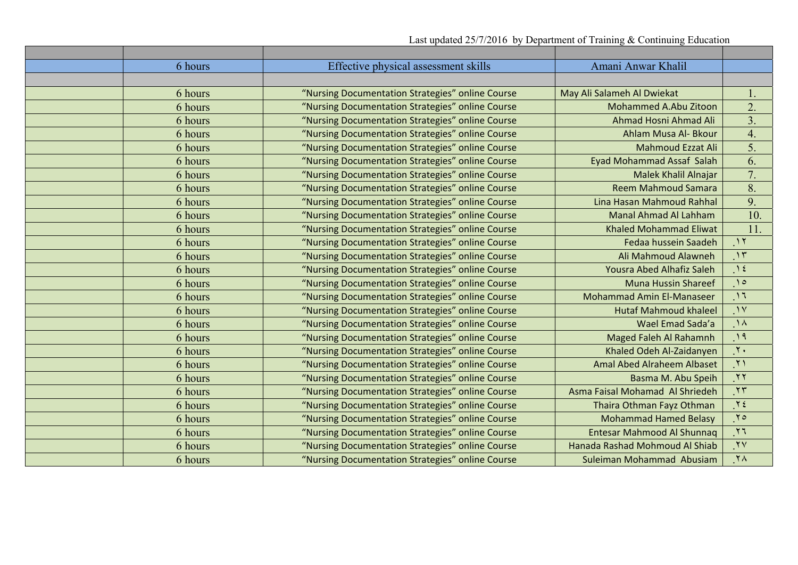| 6 hours | Effective physical assessment skills             | Amani Anwar Khalil                |                  |
|---------|--------------------------------------------------|-----------------------------------|------------------|
|         |                                                  |                                   |                  |
| 6 hours | "Nursing Documentation Strategies" online Course | May Ali Salameh Al Dwiekat        | 1.               |
| 6 hours | "Nursing Documentation Strategies" online Course | Mohammed A.Abu Zitoon             | 2.               |
| 6 hours | "Nursing Documentation Strategies" online Course | Ahmad Hosni Ahmad Ali             | $\overline{3}$ . |
| 6 hours | "Nursing Documentation Strategies" online Course | Ahlam Musa Al- Bkour              | 4.               |
| 6 hours | "Nursing Documentation Strategies" online Course | <b>Mahmoud Ezzat Ali</b>          | 5.               |
| 6 hours | "Nursing Documentation Strategies" online Course | <b>Eyad Mohammad Assaf Salah</b>  | 6.               |
| 6 hours | "Nursing Documentation Strategies" online Course | Malek Khalil Alnajar              | $\overline{7}$ . |
| 6 hours | "Nursing Documentation Strategies" online Course | <b>Reem Mahmoud Samara</b>        | 8.               |
| 6 hours | "Nursing Documentation Strategies" online Course | Lina Hasan Mahmoud Rahhal         | 9.               |
| 6 hours | "Nursing Documentation Strategies" online Course | <b>Manal Ahmad Al Lahham</b>      | 10.              |
| 6 hours | "Nursing Documentation Strategies" online Course | <b>Khaled Mohammad Eliwat</b>     | 11.              |
| 6 hours | "Nursing Documentation Strategies" online Course | Fedaa hussein Saadeh              | $\gamma$         |
| 6 hours | "Nursing Documentation Strategies" online Course | Ali Mahmoud Alawneh               | $\gamma$         |
| 6 hours | "Nursing Documentation Strategies" online Course | Yousra Abed Alhafiz Saleh         | $\gamma$         |
| 6 hours | "Nursing Documentation Strategies" online Course | <b>Muna Hussin Shareef</b>        | $\bigwedge$      |
| 6 hours | "Nursing Documentation Strategies" online Course | Mohammad Amin El-Manaseer         | $\bigwedge$      |
| 6 hours | "Nursing Documentation Strategies" online Course | <b>Hutaf Mahmoud khaleel</b>      | $\mathcal{N}$    |
| 6 hours | "Nursing Documentation Strategies" online Course | Wael Emad Sada'a                  | $\Lambda$        |
| 6 hours | "Nursing Documentation Strategies" online Course | Maged Faleh Al Rahamnh            | $\eta$           |
| 6 hours | "Nursing Documentation Strategies" online Course | Khaled Odeh Al-Zaidanyen          | $\mathbf{y}$ .   |
| 6 hours | "Nursing Documentation Strategies" online Course | Amal Abed Alraheem Albaset        | $\lambda$        |
| 6 hours | "Nursing Documentation Strategies" online Course | Basma M. Abu Speih                | $\mathbf{y}$     |
| 6 hours | "Nursing Documentation Strategies" online Course | Asma Faisal Mohamad Al Shriedeh   | $\mathcal{N}$    |
| 6 hours | "Nursing Documentation Strategies" online Course | Thaira Othman Fayz Othman         | $Y \xi$          |
| 6 hours | "Nursing Documentation Strategies" online Course | <b>Mohammad Hamed Belasy</b>      | .70              |
| 6 hours | "Nursing Documentation Strategies" online Course | <b>Entesar Mahmood Al Shunnag</b> | $\overline{17}$  |
| 6 hours | "Nursing Documentation Strategies" online Course | Hanada Rashad Mohmoud Al Shiab    | .7V              |
| 6 hours | "Nursing Documentation Strategies" online Course | Suleiman Mohammad Abusiam         | $\gamma \wedge$  |